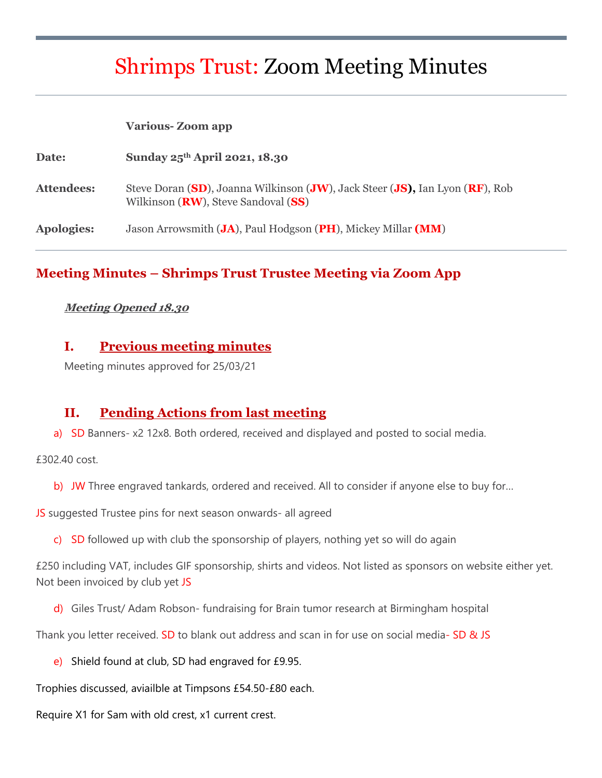# Shrimps Trust: Zoom Meeting Minutes

#### **Various- Zoom app**

| Date:             | Sunday $25th$ April 2021, 18.30                                                                                              |
|-------------------|------------------------------------------------------------------------------------------------------------------------------|
| Attendees:        | Steve Doran (SD), Joanna Wilkinson (JW), Jack Steer (JS), Ian Lyon (RF), Rob<br>Wilkinson ( <b>RW</b> ), Steve Sandoval (SS) |
| <b>Apologies:</b> | Jason Arrowsmith (JA), Paul Hodgson (PH), Mickey Millar (MM)                                                                 |

#### **Meeting Minutes – Shrimps Trust Trustee Meeting via Zoom App**

#### **Meeting Opened 18.30**

#### **I. Previous meeting minutes**

Meeting minutes approved for 25/03/21

#### **II. Pending Actions from last meeting**

a) SD Banners- x2 12x8. Both ordered, received and displayed and posted to social media.

£302.40 cost.

b) JW Three engraved tankards, ordered and received. All to consider if anyone else to buy for...

JS suggested Trustee pins for next season onwards- all agreed

c) SD followed up with club the sponsorship of players, nothing yet so will do again

£250 including VAT, includes GIF sponsorship, shirts and videos. Not listed as sponsors on website either yet. Not been invoiced by club yet JS

d) Giles Trust/ Adam Robson- fundraising for Brain tumor research at Birmingham hospital

Thank you letter received. SD to blank out address and scan in for use on social media- SD & JS

e) Shield found at club, SD had engraved for  $£9.95$ .

Trophies discussed, aviailble at Timpsons £54.50-£80 each.

Require X1 for Sam with old crest, x1 current crest.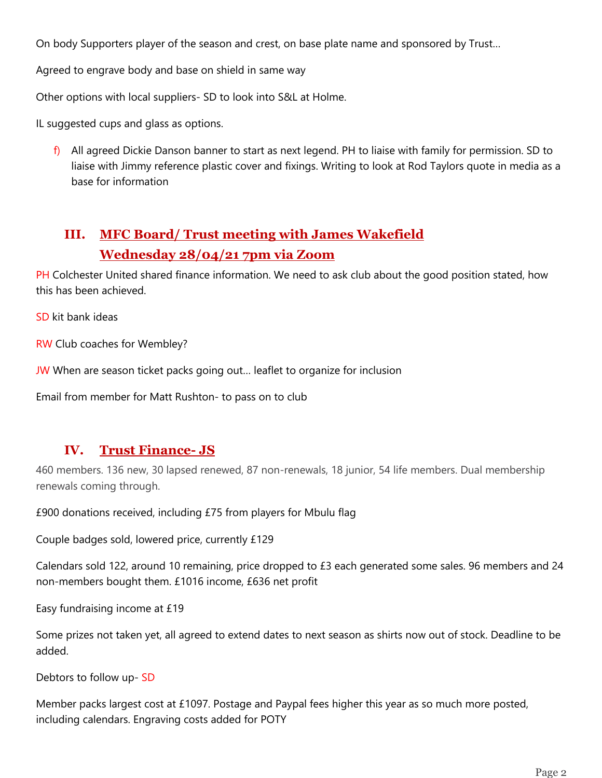On body Supporters player of the season and crest, on base plate name and sponsored by Trust…

Agreed to engrave body and base on shield in same way

Other options with local suppliers- SD to look into S&L at Holme.

IL suggested cups and glass as options.

 $f$ ) All agreed Dickie Danson banner to start as next legend. PH to liaise with family for permission. SD to liaise with Jimmy reference plastic cover and fixings. Writing to look at Rod Taylors quote in media as a base for information

# **III. MFC Board/ Trust meeting with James Wakefield Wednesday 28/04/21 7pm via Zoom**

PH Colchester United shared finance information. We need to ask club about the good position stated, how this has been achieved.

SD kit bank ideas

RW Club coaches for Wembley?

JW When are season ticket packs going out... leaflet to organize for inclusion

Email from member for Matt Rushton- to pass on to club

#### **IV. Trust Finance- JS**

460 members. 136 new, 30 lapsed renewed, 87 non-renewals, 18 junior, 54 life members. Dual membership renewals coming through.

£900 donations received, including £75 from players for Mbulu flag

Couple badges sold, lowered price, currently £129

Calendars sold 122, around 10 remaining, price dropped to £3 each generated some sales. 96 members and 24 non-members bought them. £1016 income, £636 net profit

Easy fundraising income at £19

Some prizes not taken yet, all agreed to extend dates to next season as shirts now out of stock. Deadline to be added.

Debtors to follow up- SD

Member packs largest cost at £1097. Postage and Paypal fees higher this year as so much more posted, including calendars. Engraving costs added for POTY